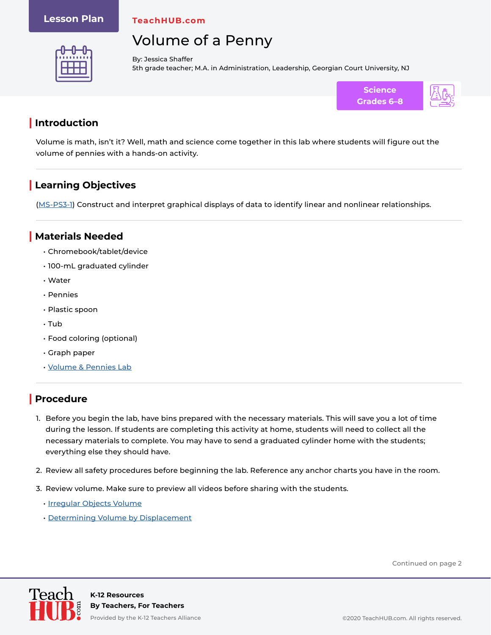#### **Lesson Plan**

**TeachHUB.com**

# Volume of a Penny



By: Jessica Shaffer 5th grade teacher; M.A. in Administration, Leadership, Georgian Court University, NJ



### **| Introduction**

Volume is math, isn't it? Well, math and science come together in this lab where students will figure out the volume of pennies with a hands-on activity.

## **| Learning Objectives**

[\(MS-PS3-1](https://www.nextgenscience.org/pe/ms-ps3-1-energy)) Construct and interpret graphical displays of data to identify linear and nonlinear relationships.

#### **| Materials Needed**

- Chromebook/tablet/device
- 100-mL graduated cylinder
- Water
- Pennies
- Plastic spoon
- Tub
- Food coloring (optional)
- Graph paper
- [Volume & Pennies Lab](https://www.teachhub.com/wp-content/uploads/2020/11/Volume-Pennies-Lab.pdf)

## **| Procedure**

- 1. Before you begin the lab, have bins prepared with the necessary materials. This will save you a lot of time during the lesson. If students are completing this activity at home, students will need to collect all the necessary materials to complete. You may have to send a graduated cylinder home with the students; everything else they should have.
- 2. Review all safety procedures before beginning the lab. Reference any anchor charts you have in the room.
- 3. Review volume. Make sure to preview all videos before sharing with the students.
	- [Irregular Objects Volume](https://www.youtube.com/watch?v=e0geXKxeTn4)
	- [Determining Volume by Displacement](https://www.youtube.com/watch?v=hbHh8Bt4UUA)

Continued on page 2